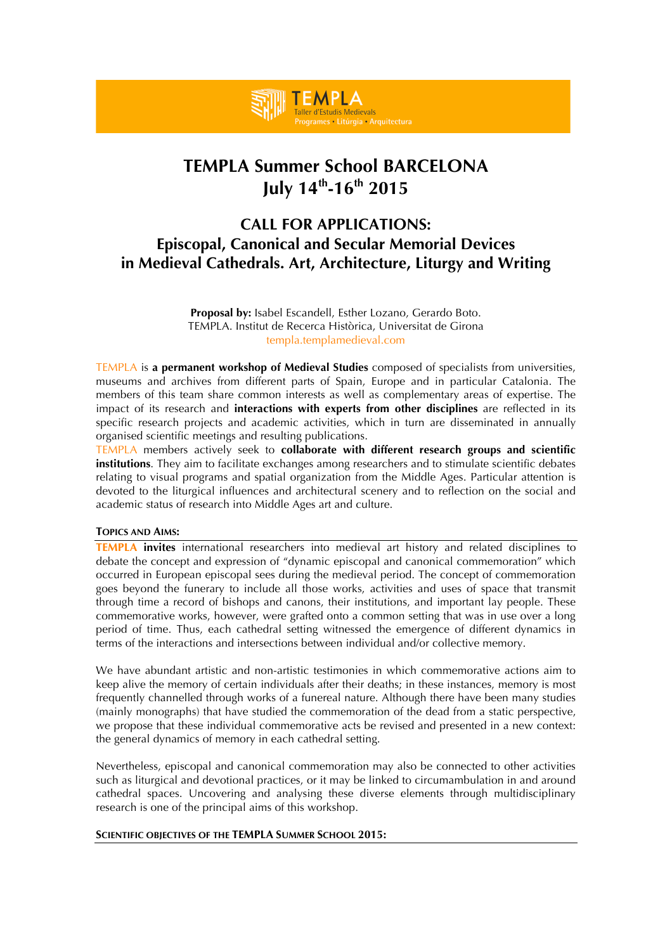

# **TEMPLA Summer School BARCELONA July 14th-16th 2015**

# **CALL FOR APPLICATIONS: Episcopal, Canonical and Secular Memorial Devices in Medieval Cathedrals. Art, Architecture, Liturgy and Writing**

**Proposal by:** Isabel Escandell, Esther Lozano, Gerardo Boto. TEMPLA. Institut de Recerca Històrica, Universitat de Girona templa.templamedieval.com

TEMPLA is **a permanent workshop of Medieval Studies** composed of specialists from universities, museums and archives from different parts of Spain, Europe and in particular Catalonia. The members of this team share common interests as well as complementary areas of expertise. The impact of its research and **interactions with experts from other disciplines** are reflected in its specific research projects and academic activities, which in turn are disseminated in annually organised scientific meetings and resulting publications.

TEMPLA members actively seek to **collaborate with different research groups and scientific institutions**. They aim to facilitate exchanges among researchers and to stimulate scientific debates relating to visual programs and spatial organization from the Middle Ages. Particular attention is devoted to the liturgical influences and architectural scenery and to reflection on the social and academic status of research into Middle Ages art and culture.

#### **TOPICS AND AIMS:**

**TEMPLA invites** international researchers into medieval art history and related disciplines to debate the concept and expression of "dynamic episcopal and canonical commemoration" which occurred in European episcopal sees during the medieval period. The concept of commemoration goes beyond the funerary to include all those works, activities and uses of space that transmit through time a record of bishops and canons, their institutions, and important lay people. These commemorative works, however, were grafted onto a common setting that was in use over a long period of time. Thus, each cathedral setting witnessed the emergence of different dynamics in terms of the interactions and intersections between individual and/or collective memory.

We have abundant artistic and non-artistic testimonies in which commemorative actions aim to keep alive the memory of certain individuals after their deaths; in these instances, memory is most frequently channelled through works of a funereal nature. Although there have been many studies (mainly monographs) that have studied the commemoration of the dead from a static perspective, we propose that these individual commemorative acts be revised and presented in a new context: the general dynamics of memory in each cathedral setting.

Nevertheless, episcopal and canonical commemoration may also be connected to other activities such as liturgical and devotional practices, or it may be linked to circumambulation in and around cathedral spaces. Uncovering and analysing these diverse elements through multidisciplinary research is one of the principal aims of this workshop.

#### **SCIENTIFIC OBJECTIVES OF THE TEMPLA SUMMER SCHOOL 2015:**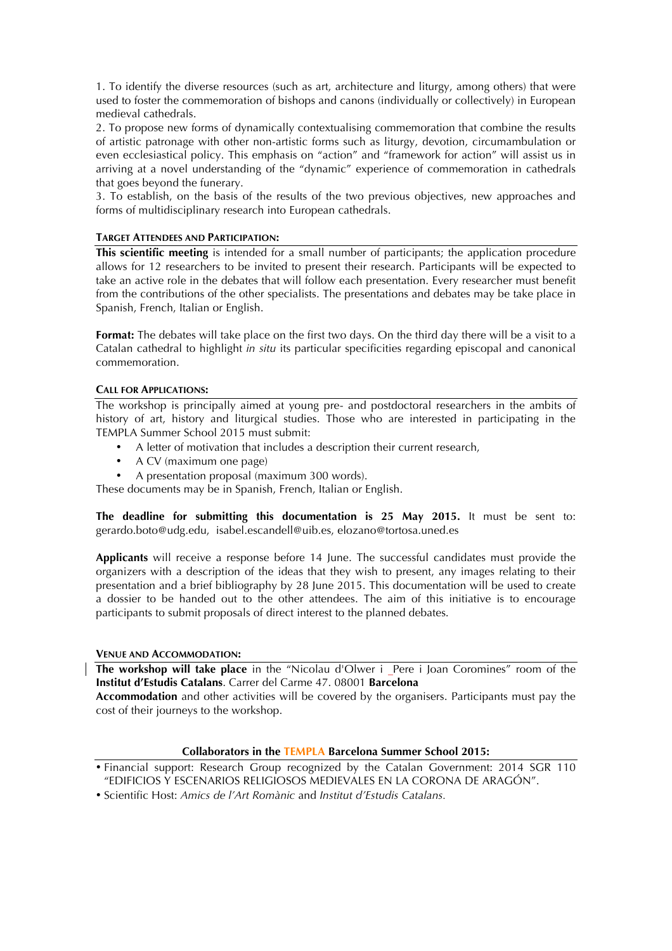1. To identify the diverse resources (such as art, architecture and liturgy, among others) that were used to foster the commemoration of bishops and canons (individually or collectively) in European medieval cathedrals.

2. To propose new forms of dynamically contextualising commemoration that combine the results of artistic patronage with other non-artistic forms such as liturgy, devotion, circumambulation or even ecclesiastical policy. This emphasis on "action" and "framework for action" will assist us in arriving at a novel understanding of the "dynamic" experience of commemoration in cathedrals that goes beyond the funerary.

3. To establish, on the basis of the results of the two previous objectives, new approaches and forms of multidisciplinary research into European cathedrals.

## **TARGET ATTENDEES AND PARTICIPATION:**

**This scientific meeting** is intended for a small number of participants; the application procedure allows for 12 researchers to be invited to present their research. Participants will be expected to take an active role in the debates that will follow each presentation. Every researcher must benefit from the contributions of the other specialists. The presentations and debates may be take place in Spanish, French, Italian or English.

**Format:** The debates will take place on the first two days. On the third day there will be a visit to a Catalan cathedral to highlight *in situ* its particular specificities regarding episcopal and canonical commemoration.

#### **CALL FOR APPLICATIONS:**

The workshop is principally aimed at young pre- and postdoctoral researchers in the ambits of history of art, history and liturgical studies. Those who are interested in participating in the TEMPLA Summer School 2015 must submit:

- A letter of motivation that includes a description their current research,
- A CV (maximum one page)
- A presentation proposal (maximum 300 words).

These documents may be in Spanish, French, Italian or English.

**The deadline for submitting this documentation is 25 May 2015.** It must be sent to: gerardo.boto@udg.edu, isabel.escandell@uib.es, elozano@tortosa.uned.es

**Applicants** will receive a response before 14 June. The successful candidates must provide the organizers with a description of the ideas that they wish to present, any images relating to their presentation and a brief bibliography by 28 June 2015. This documentation will be used to create a dossier to be handed out to the other attendees. The aim of this initiative is to encourage participants to submit proposals of direct interest to the planned debates.

# **VENUE AND ACCOMMODATION:**

**The workshop will take place** in the "Nicolau d'Olwer i Pere i Joan Coromines" room of the **Institut d'Estudis Catalans**. Carrer del Carme 47. 08001 **Barcelona**

**Accommodation** and other activities will be covered by the organisers. Participants must pay the cost of their journeys to the workshop.

# **Collaborators in the TEMPLA Barcelona Summer School 2015:**

<sup>•</sup> Financial support: Research Group recognized by the Catalan Government: 2014 SGR 110 "EDIFICIOS Y ESCENARIOS RELIGIOSOS MEDIEVALES EN LA CORONA DE ARAGÓN".

<sup>•</sup> Scientific Host: *Amics de l'Art Romànic* and *Institut d'Estudis Catalans.*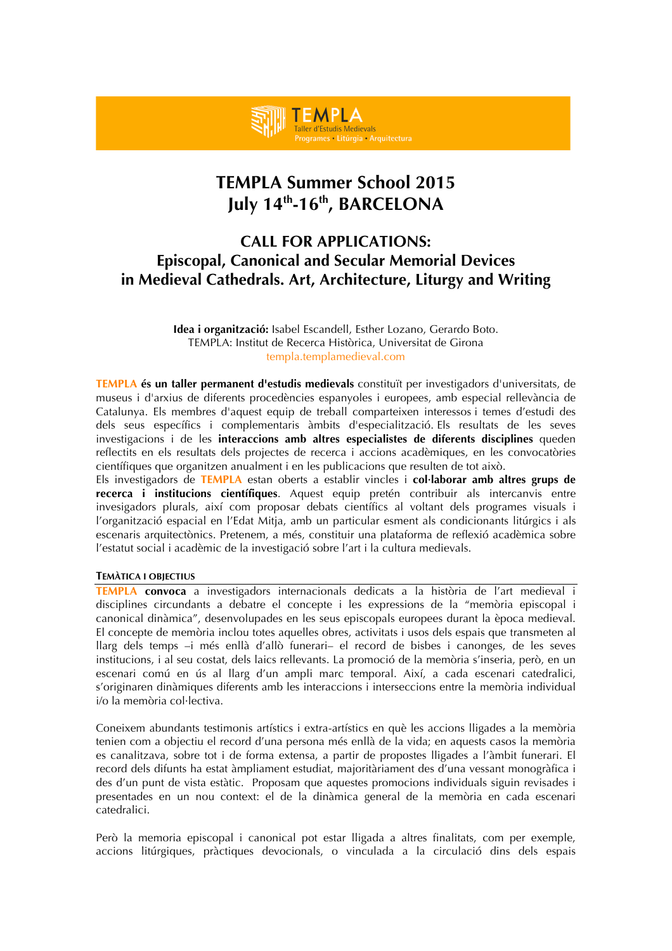# **TEMPLA Summer School 2015 July 14th-16th, BARCELONA**

es Litúrgia Arquitectura

**TEMPLA** Taller d'Estudis Medievals

# **CALL FOR APPLICATIONS: Episcopal, Canonical and Secular Memorial Devices in Medieval Cathedrals. Art, Architecture, Liturgy and Writing**

**Idea i organització:** Isabel Escandell, Esther Lozano, Gerardo Boto. TEMPLA: Institut de Recerca Històrica, Universitat de Girona templa.templamedieval.com

**TEMPLA és un taller permanent d'estudis medievals** constituït per investigadors d'universitats, de museus i d'arxius de diferents procedències espanyoles i europees, amb especial rellevància de Catalunya. Els membres d'aquest equip de treball comparteixen interessos i temes d'estudi des dels seus específics i complementaris àmbits d'especialització. Els resultats de les seves investigacions i de les **interaccions amb altres especialistes de diferents disciplines** queden reflectits en els resultats dels projectes de recerca i accions acadèmiques, en les convocatòries científiques que organitzen anualment i en les publicacions que resulten de tot això.

Els investigadors de **TEMPLA** estan oberts a establir vincles i **col·laborar amb altres grups de recerca i institucions científiques**. Aquest equip pretén contribuir als intercanvis entre invesigadors plurals, així com proposar debats científics al voltant dels programes visuals i l'organització espacial en l'Edat Mitja, amb un particular esment als condicionants litúrgics i als escenaris arquitectònics. Pretenem, a més, constituir una plataforma de reflexió acadèmica sobre l'estatut social i acadèmic de la investigació sobre l'art i la cultura medievals.

### **TEMÀTICA I OBJECTIUS**

**TEMPLA convoca** a investigadors internacionals dedicats a la història de l'art medieval i disciplines circundants a debatre el concepte i les expressions de la "memòria episcopal i canonical dinàmica", desenvolupades en les seus episcopals europees durant la època medieval. El concepte de memòria inclou totes aquelles obres, activitats i usos dels espais que transmeten al llarg dels temps –i més enllà d'allò funerari– el record de bisbes i canonges, de les seves institucions, i al seu costat, dels laics rellevants. La promoció de la memòria s'inseria, però, en un escenari comú en ús al llarg d'un ampli marc temporal. Així, a cada escenari catedralici, s'originaren dinàmiques diferents amb les interaccions i interseccions entre la memòria individual i/o la memòria col·lectiva.

Coneixem abundants testimonis artístics i extra-artístics en què les accions lligades a la memòria tenien com a objectiu el record d'una persona més enllà de la vida; en aquests casos la memòria es canalitzava, sobre tot i de forma extensa, a partir de propostes lligades a l'àmbit funerari. El record dels difunts ha estat àmpliament estudiat, majoritàriament des d'una vessant monogràfica i des d'un punt de vista estàtic. Proposam que aquestes promocions individuals siguin revisades i presentades en un nou context: el de la dinàmica general de la memòria en cada escenari catedralici.

Però la memoria episcopal i canonical pot estar lligada a altres finalitats, com per exemple, accions litúrgiques, pràctiques devocionals, o vinculada a la circulació dins dels espais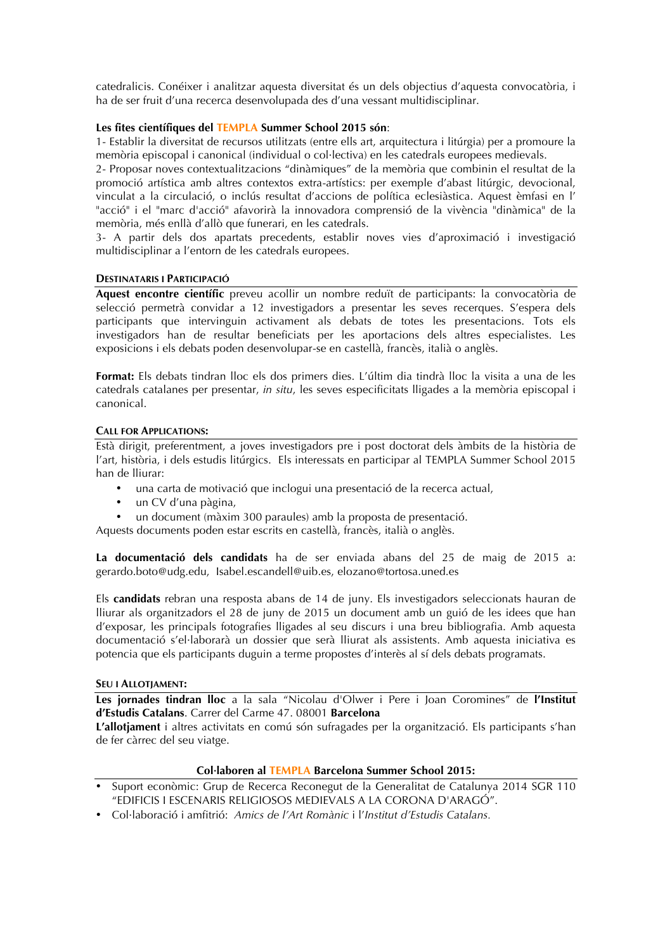catedralicis. Conéixer i analitzar aquesta diversitat és un dels objectius d'aquesta convocatòria, i ha de ser fruit d'una recerca desenvolupada des d'una vessant multidisciplinar.

# **Les fites científiques del TEMPLA Summer School 2015 són**:

1- Establir la diversitat de recursos utilitzats (entre ells art, arquitectura i litúrgia) per a promoure la memòria episcopal i canonical (individual o col·lectiva) en les catedrals europees medievals.

2- Proposar noves contextualitzacions "dinàmiques" de la memòria que combinin el resultat de la promoció artística amb altres contextos extra-artístics: per exemple d'abast litúrgic, devocional, vinculat a la circulació, o inclús resultat d'accions de política eclesiàstica. Aquest èmfasi en l' "acció" i el "marc d'acció" afavorirà la innovadora comprensió de la vivència "dinàmica" de la memòria, més enllà d'allò que funerari, en les catedrals.

3- A partir dels dos apartats precedents, establir noves vies d'aproximació i investigació multidisciplinar a l'entorn de les catedrals europees.

#### **DESTINATARIS I PARTICIPACIÓ**

**Aquest encontre científic** preveu acollir un nombre reduït de participants: la convocatòria de selecció permetrà convidar a 12 investigadors a presentar les seves recerques. S'espera dels participants que intervinguin activament als debats de totes les presentacions. Tots els investigadors han de resultar beneficiats per les aportacions dels altres especialistes. Les exposicions i els debats poden desenvolupar-se en castellà, francès, italià o anglès.

**Format:** Els debats tindran lloc els dos primers dies. L'últim dia tindrà lloc la visita a una de les catedrals catalanes per presentar, *in situ*, les seves especificitats lligades a la memòria episcopal i canonical.

## **CALL FOR APPLICATIONS:**

Està dirigit, preferentment, a joves investigadors pre i post doctorat dels àmbits de la història de l'art, història, i dels estudis litúrgics. Els interessats en participar al TEMPLA Summer School 2015 han de lliurar:

- una carta de motivació que inclogui una presentació de la recerca actual,
- un CV d'una pàgina,
- un document (màxim 300 paraules) amb la proposta de presentació.

Aquests documents poden estar escrits en castellà, francès, italià o anglès.

**La documentació dels candidats** ha de ser enviada abans del 25 de maig de 2015 a: gerardo.boto@udg.edu, Isabel.escandell@uib.es, elozano@tortosa.uned.es

Els **candidats** rebran una resposta abans de 14 de juny. Els investigadors seleccionats hauran de lliurar als organitzadors el 28 de juny de 2015 un document amb un guió de les idees que han d'exposar, les principals fotografies lligades al seu discurs i una breu bibliografia. Amb aquesta documentació s'el·laborarà un dossier que serà lliurat als assistents. Amb aquesta iniciativa es potencia que els participants duguin a terme propostes d'interès al sí dels debats programats.

#### **SEU I ALLOTJAMENT:**

**Les jornades tindran lloc** a la sala "Nicolau d'Olwer i Pere i Joan Coromines" de **l'Institut d'Estudis Catalans**. Carrer del Carme 47. 08001 **Barcelona**

**L'allotjament** i altres activitats en comú són sufragades per la organització. Els participants s'han de fer càrrec del seu viatge.

# **Col·laboren al TEMPLA Barcelona Summer School 2015:**

- Suport econòmic: Grup de Recerca Reconegut de la Generalitat de Catalunya 2014 SGR 110 "EDIFICIS I ESCENARIS RELIGIOSOS MEDIEVALS A LA CORONA D'ARAGÓ".
- Col·laboració i amfitrió: *Amics de l'Art Romànic* i l'*Institut d'Estudis Catalans.*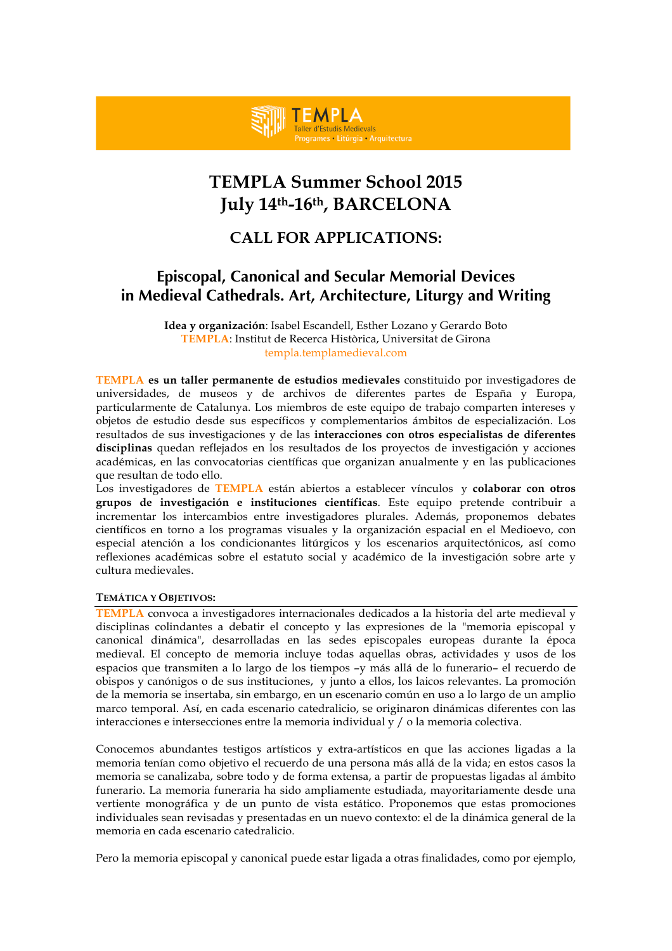# **TEMPLA Summer School 2015 July 14th-16th, BARCELONA**

es Litúrgia Arquitectura

**TEMPLA** Taller d'Estudis Medievals

# **CALL FOR APPLICATIONS:**

# **Episcopal, Canonical and Secular Memorial Devices in Medieval Cathedrals. Art, Architecture, Liturgy and Writing**

**Idea y organización**: Isabel Escandell, Esther Lozano y Gerardo Boto **TEMPLA**: Institut de Recerca Històrica, Universitat de Girona templa.templamedieval.com

**TEMPLA es un taller permanente de estudios medievales** constituido por investigadores de universidades, de museos y de archivos de diferentes partes de España y Europa, particularmente de Catalunya. Los miembros de este equipo de trabajo comparten intereses y objetos de estudio desde sus específicos y complementarios ámbitos de especialización. Los resultados de sus investigaciones y de las **interacciones con otros especialistas de diferentes disciplinas** quedan reflejados en los resultados de los proyectos de investigación y acciones académicas, en las convocatorias científicas que organizan anualmente y en las publicaciones que resultan de todo ello.

Los investigadores de **TEMPLA** están abiertos a establecer vínculos y **colaborar con otros grupos de investigación e instituciones científicas**. Este equipo pretende contribuir a incrementar los intercambios entre investigadores plurales. Además, proponemos debates científicos en torno a los programas visuales y la organización espacial en el Medioevo, con especial atención a los condicionantes litúrgicos y los escenarios arquitectónicos, así como reflexiones académicas sobre el estatuto social y académico de la investigación sobre arte y cultura medievales.

#### **TEMÁTICA Y OBJETIVOS:**

**TEMPLA** convoca a investigadores internacionales dedicados a la historia del arte medieval y disciplinas colindantes a debatir el concepto y las expresiones de la "memoria episcopal y canonical dinámica", desarrolladas en las sedes episcopales europeas durante la época medieval. El concepto de memoria incluye todas aquellas obras, actividades y usos de los espacios que transmiten a lo largo de los tiempos –y más allá de lo funerario– el recuerdo de obispos y canónigos o de sus instituciones, y junto a ellos, los laicos relevantes. La promoción de la memoria se insertaba, sin embargo, en un escenario común en uso a lo largo de un amplio marco temporal. Así, en cada escenario catedralicio, se originaron dinámicas diferentes con las interacciones e intersecciones entre la memoria individual y / o la memoria colectiva.

Conocemos abundantes testigos artísticos y extra-artísticos en que las acciones ligadas a la memoria tenían como objetivo el recuerdo de una persona más allá de la vida; en estos casos la memoria se canalizaba, sobre todo y de forma extensa, a partir de propuestas ligadas al ámbito funerario. La memoria funeraria ha sido ampliamente estudiada, mayoritariamente desde una vertiente monográfica y de un punto de vista estático. Proponemos que estas promociones individuales sean revisadas y presentadas en un nuevo contexto: el de la dinámica general de la memoria en cada escenario catedralicio.

Pero la memoria episcopal y canonical puede estar ligada a otras finalidades, como por ejemplo,